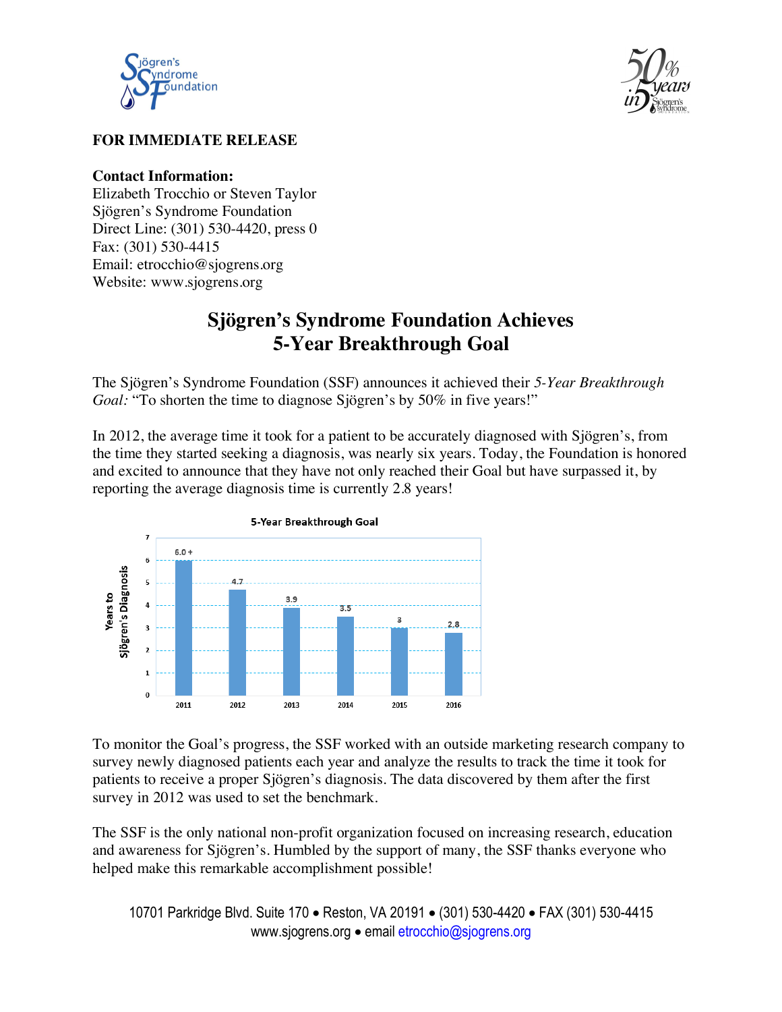



## **FOR IMMEDIATE RELEASE**

## **Contact Information:**

Elizabeth Trocchio or Steven Taylor Sjögren's Syndrome Foundation Direct Line: (301) 530-4420, press 0 Fax: (301) 530-4415 Email: etrocchio@sjogrens.org Website: www.sjogrens.org

## **Sjögren's Syndrome Foundation Achieves 5-Year Breakthrough Goal**

The Sjögren's Syndrome Foundation (SSF) announces it achieved their *5-Year Breakthrough Goal:* "To shorten the time to diagnose Sjögren's by 50% in five years!"

In 2012, the average time it took for a patient to be accurately diagnosed with Sjögren's, from the time they started seeking a diagnosis, was nearly six years. Today, the Foundation is honored and excited to announce that they have not only reached their Goal but have surpassed it, by reporting the average diagnosis time is currently 2.8 years!



To monitor the Goal's progress, the SSF worked with an outside marketing research company to survey newly diagnosed patients each year and analyze the results to track the time it took for patients to receive a proper Sjögren's diagnosis. The data discovered by them after the first survey in 2012 was used to set the benchmark.

The SSF is the only national non-profit organization focused on increasing research, education and awareness for Sjögren's. Humbled by the support of many, the SSF thanks everyone who helped make this remarkable accomplishment possible!

10701 Parkridge Blvd. Suite 170 • Reston, VA 20191 • (301) 530-4420 • FAX (301) 530-4415 www.sjogrens.org • email etrocchio@sjogrens.org